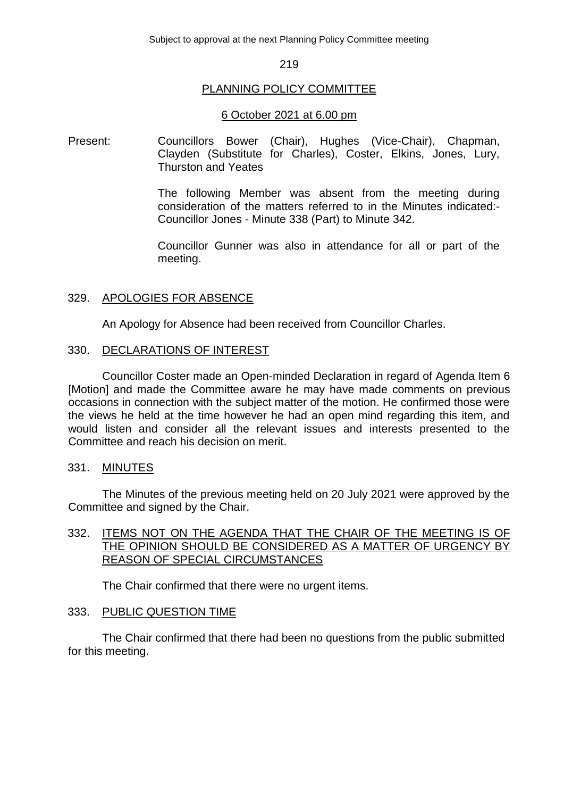Subject to approval at the next Planning Policy Committee meeting

### 219

## PLANNING POLICY COMMITTEE

### 6 October 2021 at 6.00 pm

Present: Councillors Bower (Chair), Hughes (Vice-Chair), Chapman, Clayden (Substitute for Charles), Coster, Elkins, Jones, Lury, Thurston and Yeates

> The following Member was absent from the meeting during consideration of the matters referred to in the Minutes indicated:- Councillor Jones - Minute 338 (Part) to Minute 342.

> Councillor Gunner was also in attendance for all or part of the meeting.

## 329. APOLOGIES FOR ABSENCE

An Apology for Absence had been received from Councillor Charles.

## 330. DECLARATIONS OF INTEREST

Councillor Coster made an Open-minded Declaration in regard of Agenda Item 6 [Motion] and made the Committee aware he may have made comments on previous occasions in connection with the subject matter of the motion. He confirmed those were the views he held at the time however he had an open mind regarding this item, and would listen and consider all the relevant issues and interests presented to the Committee and reach his decision on merit.

### 331. MINUTES

The Minutes of the previous meeting held on 20 July 2021 were approved by the Committee and signed by the Chair.

# 332. ITEMS NOT ON THE AGENDA THAT THE CHAIR OF THE MEETING IS OF THE OPINION SHOULD BE CONSIDERED AS A MATTER OF URGENCY BY REASON OF SPECIAL CIRCUMSTANCES

The Chair confirmed that there were no urgent items.

## 333. PUBLIC QUESTION TIME

The Chair confirmed that there had been no questions from the public submitted for this meeting.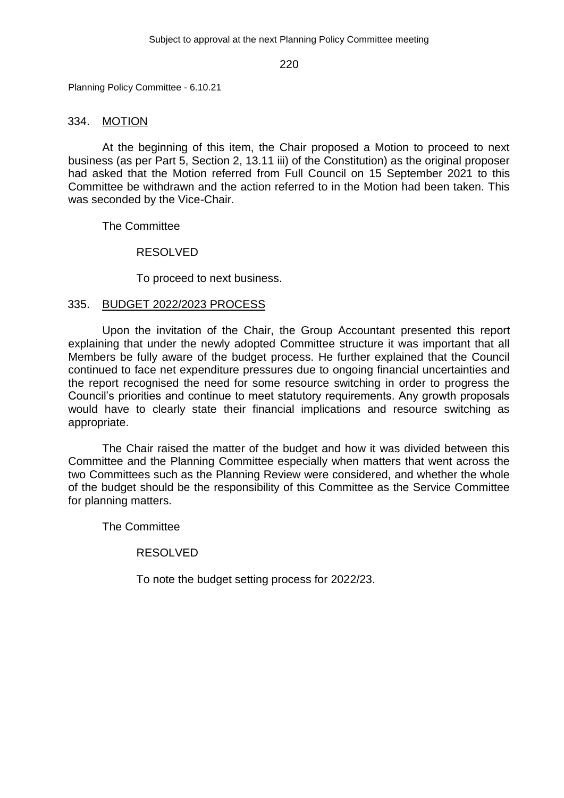Planning Policy Committee - 6.10.21

## 334. MOTION

At the beginning of this item, the Chair proposed a Motion to proceed to next business (as per Part 5, Section 2, 13.11 iii) of the Constitution) as the original proposer had asked that the Motion referred from Full Council on 15 September 2021 to this Committee be withdrawn and the action referred to in the Motion had been taken. This was seconded by the Vice-Chair.

The Committee

RESOLVED

To proceed to next business.

# 335. BUDGET 2022/2023 PROCESS

Upon the invitation of the Chair, the Group Accountant presented this report explaining that under the newly adopted Committee structure it was important that all Members be fully aware of the budget process. He further explained that the Council continued to face net expenditure pressures due to ongoing financial uncertainties and the report recognised the need for some resource switching in order to progress the Council's priorities and continue to meet statutory requirements. Any growth proposals would have to clearly state their financial implications and resource switching as appropriate.

The Chair raised the matter of the budget and how it was divided between this Committee and the Planning Committee especially when matters that went across the two Committees such as the Planning Review were considered, and whether the whole of the budget should be the responsibility of this Committee as the Service Committee for planning matters.

The Committee

RESOLVED

To note the budget setting process for 2022/23.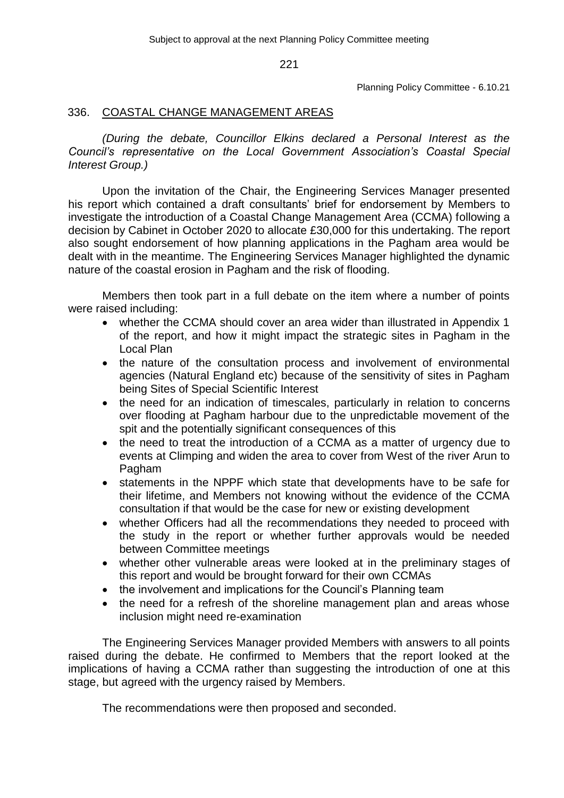Planning Policy Committee - 6.10.21

# 336. COASTAL CHANGE MANAGEMENT AREAS

*(During the debate, Councillor Elkins declared a Personal Interest as the Council's representative on the Local Government Association's Coastal Special Interest Group.)*

Upon the invitation of the Chair, the Engineering Services Manager presented his report which contained a draft consultants' brief for endorsement by Members to investigate the introduction of a Coastal Change Management Area (CCMA) following a decision by Cabinet in October 2020 to allocate £30,000 for this undertaking. The report also sought endorsement of how planning applications in the Pagham area would be dealt with in the meantime. The Engineering Services Manager highlighted the dynamic nature of the coastal erosion in Pagham and the risk of flooding.

Members then took part in a full debate on the item where a number of points were raised including:

- whether the CCMA should cover an area wider than illustrated in Appendix 1 of the report, and how it might impact the strategic sites in Pagham in the Local Plan
- the nature of the consultation process and involvement of environmental agencies (Natural England etc) because of the sensitivity of sites in Pagham being Sites of Special Scientific Interest
- the need for an indication of timescales, particularly in relation to concerns over flooding at Pagham harbour due to the unpredictable movement of the spit and the potentially significant consequences of this
- the need to treat the introduction of a CCMA as a matter of urgency due to events at Climping and widen the area to cover from West of the river Arun to Pagham
- statements in the NPPF which state that developments have to be safe for their lifetime, and Members not knowing without the evidence of the CCMA consultation if that would be the case for new or existing development
- whether Officers had all the recommendations they needed to proceed with the study in the report or whether further approvals would be needed between Committee meetings
- whether other vulnerable areas were looked at in the preliminary stages of this report and would be brought forward for their own CCMAs
- the involvement and implications for the Council's Planning team
- the need for a refresh of the shoreline management plan and areas whose inclusion might need re-examination

The Engineering Services Manager provided Members with answers to all points raised during the debate. He confirmed to Members that the report looked at the implications of having a CCMA rather than suggesting the introduction of one at this stage, but agreed with the urgency raised by Members.

The recommendations were then proposed and seconded.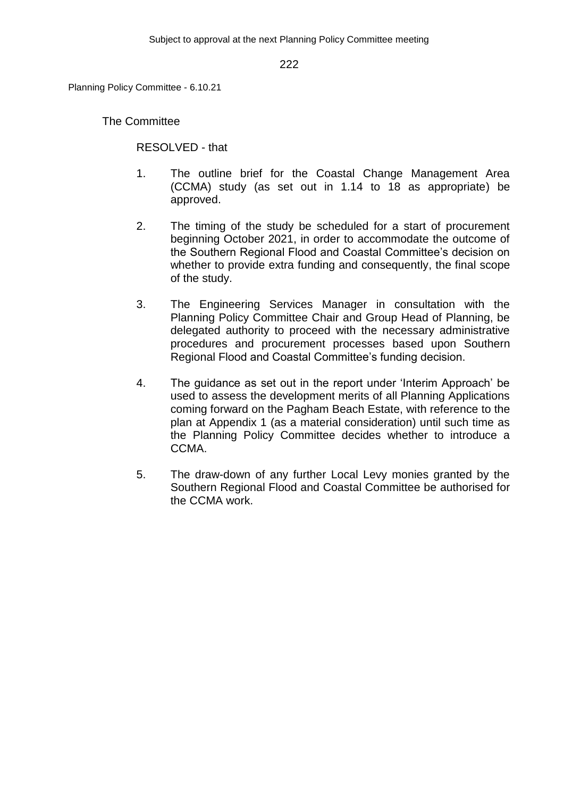Planning Policy Committee - 6.10.21

The Committee

RESOLVED - that

- 1. The outline brief for the Coastal Change Management Area (CCMA) study (as set out in 1.14 to 18 as appropriate) be approved.
- 2. The timing of the study be scheduled for a start of procurement beginning October 2021, in order to accommodate the outcome of the Southern Regional Flood and Coastal Committee's decision on whether to provide extra funding and consequently, the final scope of the study.
- 3. The Engineering Services Manager in consultation with the Planning Policy Committee Chair and Group Head of Planning, be delegated authority to proceed with the necessary administrative procedures and procurement processes based upon Southern Regional Flood and Coastal Committee's funding decision.
- 4. The guidance as set out in the report under 'Interim Approach' be used to assess the development merits of all Planning Applications coming forward on the Pagham Beach Estate, with reference to the plan at Appendix 1 (as a material consideration) until such time as the Planning Policy Committee decides whether to introduce a CCMA.
- 5. The draw-down of any further Local Levy monies granted by the Southern Regional Flood and Coastal Committee be authorised for the CCMA work.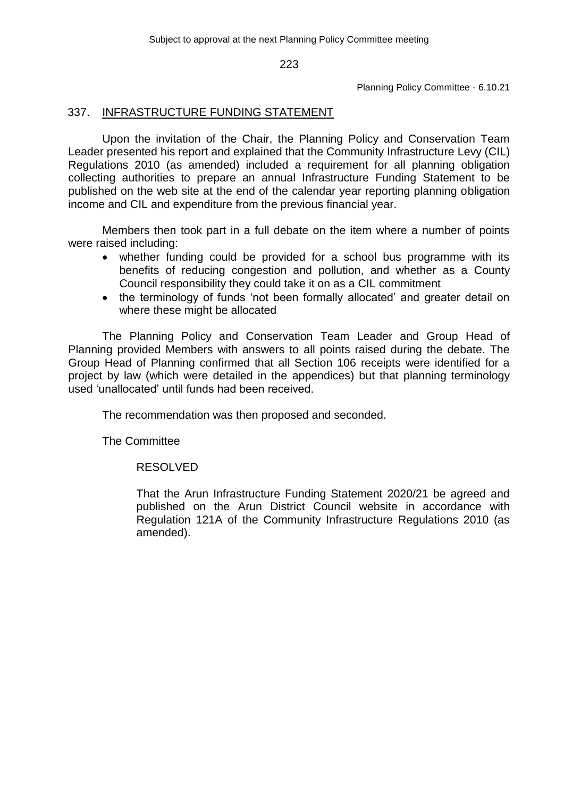Planning Policy Committee - 6.10.21

# 337. INFRASTRUCTURE FUNDING STATEMENT

Upon the invitation of the Chair, the Planning Policy and Conservation Team Leader presented his report and explained that the Community Infrastructure Levy (CIL) Regulations 2010 (as amended) included a requirement for all planning obligation collecting authorities to prepare an annual Infrastructure Funding Statement to be published on the web site at the end of the calendar year reporting planning obligation income and CIL and expenditure from the previous financial year.

Members then took part in a full debate on the item where a number of points were raised including:

- whether funding could be provided for a school bus programme with its benefits of reducing congestion and pollution, and whether as a County Council responsibility they could take it on as a CIL commitment
- the terminology of funds 'not been formally allocated' and greater detail on where these might be allocated

The Planning Policy and Conservation Team Leader and Group Head of Planning provided Members with answers to all points raised during the debate. The Group Head of Planning confirmed that all Section 106 receipts were identified for a project by law (which were detailed in the appendices) but that planning terminology used 'unallocated' until funds had been received.

The recommendation was then proposed and seconded.

The Committee

RESOLVED

That the Arun Infrastructure Funding Statement 2020/21 be agreed and published on the Arun District Council website in accordance with Regulation 121A of the Community Infrastructure Regulations 2010 (as amended).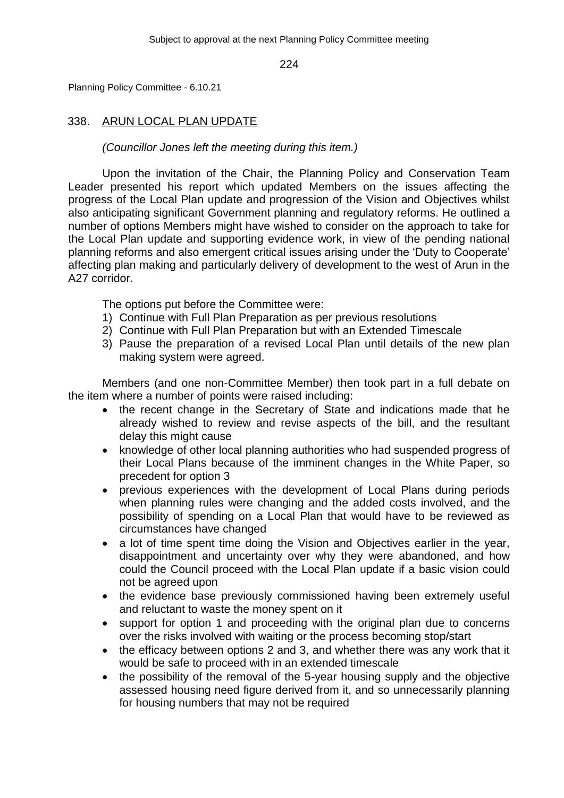Planning Policy Committee - 6.10.21

# 338. ARUN LOCAL PLAN UPDATE

*(Councillor Jones left the meeting during this item.)*

Upon the invitation of the Chair, the Planning Policy and Conservation Team Leader presented his report which updated Members on the issues affecting the progress of the Local Plan update and progression of the Vision and Objectives whilst also anticipating significant Government planning and regulatory reforms. He outlined a number of options Members might have wished to consider on the approach to take for the Local Plan update and supporting evidence work, in view of the pending national planning reforms and also emergent critical issues arising under the 'Duty to Cooperate' affecting plan making and particularly delivery of development to the west of Arun in the A27 corridor.

The options put before the Committee were:

- 1) Continue with Full Plan Preparation as per previous resolutions
- 2) Continue with Full Plan Preparation but with an Extended Timescale
- 3) Pause the preparation of a revised Local Plan until details of the new plan making system were agreed.

Members (and one non-Committee Member) then took part in a full debate on the item where a number of points were raised including:

- the recent change in the Secretary of State and indications made that he already wished to review and revise aspects of the bill, and the resultant delay this might cause
- knowledge of other local planning authorities who had suspended progress of their Local Plans because of the imminent changes in the White Paper, so precedent for option 3
- previous experiences with the development of Local Plans during periods when planning rules were changing and the added costs involved, and the possibility of spending on a Local Plan that would have to be reviewed as circumstances have changed
- a lot of time spent time doing the Vision and Objectives earlier in the year, disappointment and uncertainty over why they were abandoned, and how could the Council proceed with the Local Plan update if a basic vision could not be agreed upon
- the evidence base previously commissioned having been extremely useful and reluctant to waste the money spent on it
- support for option 1 and proceeding with the original plan due to concerns over the risks involved with waiting or the process becoming stop/start
- the efficacy between options 2 and 3, and whether there was any work that it would be safe to proceed with in an extended timescale
- the possibility of the removal of the 5-year housing supply and the objective assessed housing need figure derived from it, and so unnecessarily planning for housing numbers that may not be required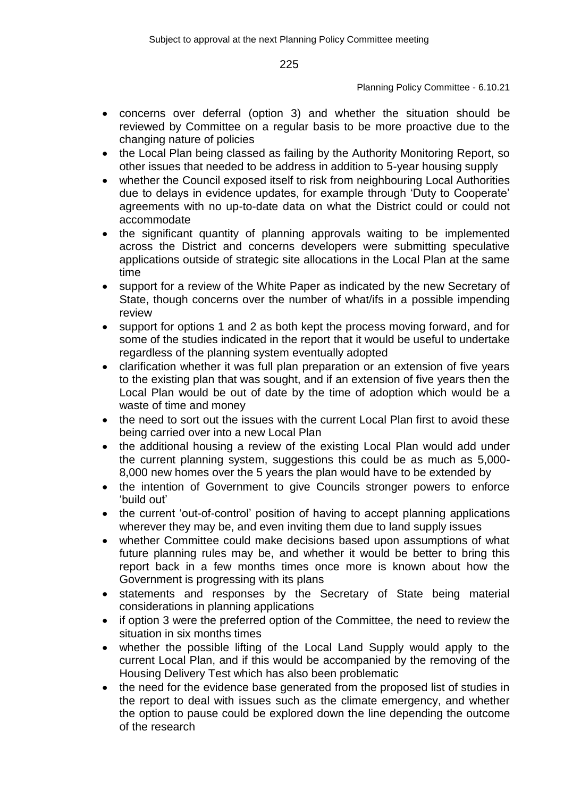### Planning Policy Committee - 6.10.21

- concerns over deferral (option 3) and whether the situation should be reviewed by Committee on a regular basis to be more proactive due to the changing nature of policies
- the Local Plan being classed as failing by the Authority Monitoring Report, so other issues that needed to be address in addition to 5-year housing supply
- whether the Council exposed itself to risk from neighbouring Local Authorities due to delays in evidence updates, for example through 'Duty to Cooperate' agreements with no up-to-date data on what the District could or could not accommodate
- the significant quantity of planning approvals waiting to be implemented across the District and concerns developers were submitting speculative applications outside of strategic site allocations in the Local Plan at the same time
- support for a review of the White Paper as indicated by the new Secretary of State, though concerns over the number of what/ifs in a possible impending review
- support for options 1 and 2 as both kept the process moving forward, and for some of the studies indicated in the report that it would be useful to undertake regardless of the planning system eventually adopted
- clarification whether it was full plan preparation or an extension of five years to the existing plan that was sought, and if an extension of five years then the Local Plan would be out of date by the time of adoption which would be a waste of time and money
- the need to sort out the issues with the current Local Plan first to avoid these being carried over into a new Local Plan
- the additional housing a review of the existing Local Plan would add under the current planning system, suggestions this could be as much as 5,000- 8,000 new homes over the 5 years the plan would have to be extended by
- the intention of Government to give Councils stronger powers to enforce 'build out'
- the current 'out-of-control' position of having to accept planning applications wherever they may be, and even inviting them due to land supply issues
- whether Committee could make decisions based upon assumptions of what future planning rules may be, and whether it would be better to bring this report back in a few months times once more is known about how the Government is progressing with its plans
- statements and responses by the Secretary of State being material considerations in planning applications
- if option 3 were the preferred option of the Committee, the need to review the situation in six months times
- whether the possible lifting of the Local Land Supply would apply to the current Local Plan, and if this would be accompanied by the removing of the Housing Delivery Test which has also been problematic
- the need for the evidence base generated from the proposed list of studies in the report to deal with issues such as the climate emergency, and whether the option to pause could be explored down the line depending the outcome of the research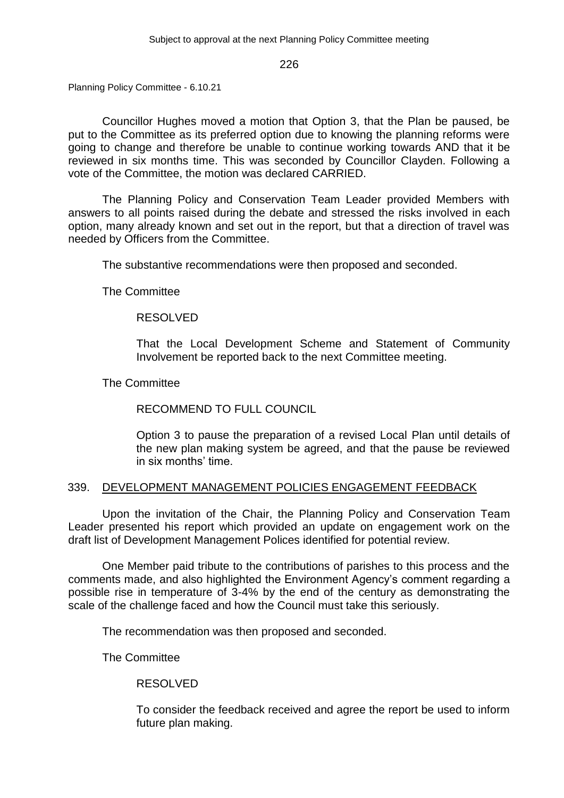Planning Policy Committee - 6.10.21

Councillor Hughes moved a motion that Option 3, that the Plan be paused, be put to the Committee as its preferred option due to knowing the planning reforms were going to change and therefore be unable to continue working towards AND that it be reviewed in six months time. This was seconded by Councillor Clayden. Following a vote of the Committee, the motion was declared CARRIED.

The Planning Policy and Conservation Team Leader provided Members with answers to all points raised during the debate and stressed the risks involved in each option, many already known and set out in the report, but that a direction of travel was needed by Officers from the Committee.

The substantive recommendations were then proposed and seconded.

The Committee

# RESOLVED

That the Local Development Scheme and Statement of Community Involvement be reported back to the next Committee meeting.

The Committee

# RECOMMEND TO FULL COUNCIL

Option 3 to pause the preparation of a revised Local Plan until details of the new plan making system be agreed, and that the pause be reviewed in six months' time.

## 339. DEVELOPMENT MANAGEMENT POLICIES ENGAGEMENT FEEDBACK

Upon the invitation of the Chair, the Planning Policy and Conservation Team Leader presented his report which provided an update on engagement work on the draft list of Development Management Polices identified for potential review.

One Member paid tribute to the contributions of parishes to this process and the comments made, and also highlighted the Environment Agency's comment regarding a possible rise in temperature of 3-4% by the end of the century as demonstrating the scale of the challenge faced and how the Council must take this seriously.

The recommendation was then proposed and seconded.

The Committee

# RESOLVED

To consider the feedback received and agree the report be used to inform future plan making.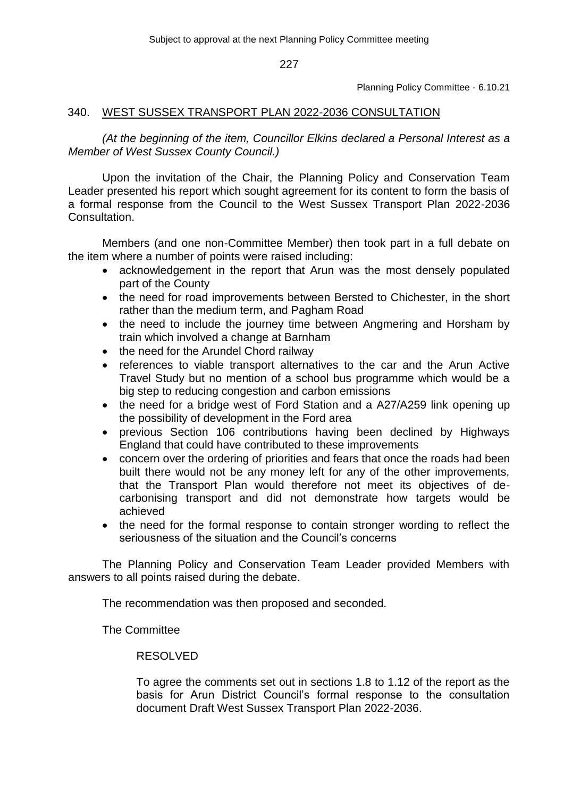Planning Policy Committee - 6.10.21

## 340. WEST SUSSEX TRANSPORT PLAN 2022-2036 CONSULTATION

*(At the beginning of the item, Councillor Elkins declared a Personal Interest as a Member of West Sussex County Council.)*

Upon the invitation of the Chair, the Planning Policy and Conservation Team Leader presented his report which sought agreement for its content to form the basis of a formal response from the Council to the West Sussex Transport Plan 2022-2036 Consultation.

Members (and one non-Committee Member) then took part in a full debate on the item where a number of points were raised including:

- acknowledgement in the report that Arun was the most densely populated part of the County
- the need for road improvements between Bersted to Chichester, in the short rather than the medium term, and Pagham Road
- the need to include the journey time between Angmering and Horsham by train which involved a change at Barnham
- the need for the Arundel Chord railway
- references to viable transport alternatives to the car and the Arun Active Travel Study but no mention of a school bus programme which would be a big step to reducing congestion and carbon emissions
- the need for a bridge west of Ford Station and a A27/A259 link opening up the possibility of development in the Ford area
- previous Section 106 contributions having been declined by Highways England that could have contributed to these improvements
- concern over the ordering of priorities and fears that once the roads had been built there would not be any money left for any of the other improvements, that the Transport Plan would therefore not meet its objectives of decarbonising transport and did not demonstrate how targets would be achieved
- the need for the formal response to contain stronger wording to reflect the seriousness of the situation and the Council's concerns

The Planning Policy and Conservation Team Leader provided Members with answers to all points raised during the debate.

The recommendation was then proposed and seconded.

The Committee

# RESOLVED

To agree the comments set out in sections 1.8 to 1.12 of the report as the basis for Arun District Council's formal response to the consultation document Draft West Sussex Transport Plan 2022-2036.